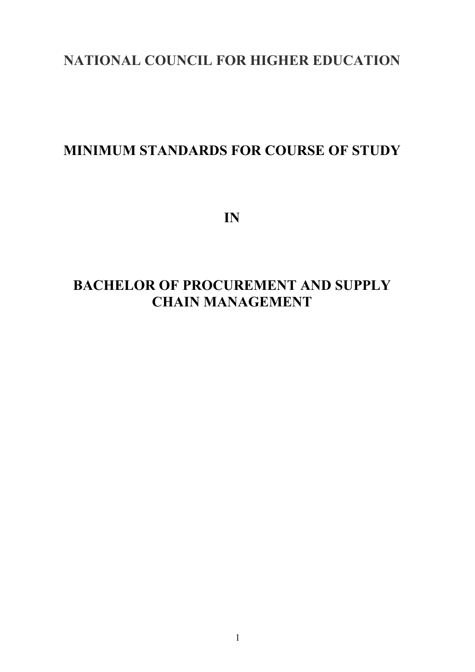# **NATIONAL COUNCIL FOR HIGHER EDUCATION**

# **MINIMUM STANDARDS FOR COURSE OF STUDY**

**IN** 

# **BACHELOR OF PROCUREMENT AND SUPPLY CHAIN MANAGEMENT**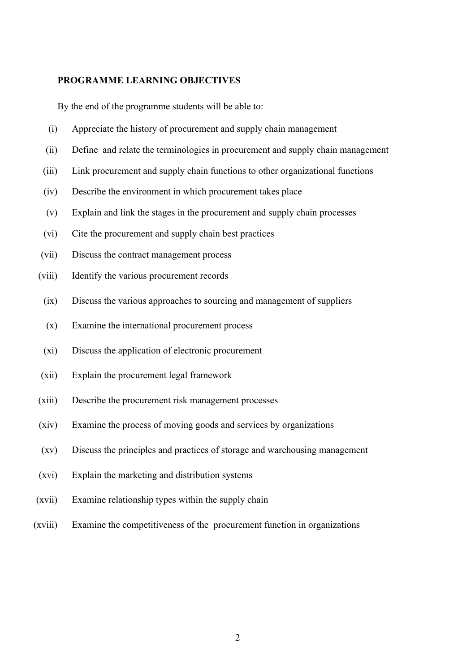#### **PROGRAMME LEARNING OBJECTIVES**

By the end of the programme students will be able to:

- (i) Appreciate the history of procurement and supply chain management
- (ii) Define and relate the terminologies in procurement and supply chain management
- (iii) Link procurement and supply chain functions to other organizational functions
- (iv) Describe the environment in which procurement takes place
- (v) Explain and link the stages in the procurement and supply chain processes
- (vi) Cite the procurement and supply chain best practices
- (vii) Discuss the contract management process
- (viii) Identify the various procurement records
	- (ix) Discuss the various approaches to sourcing and management of suppliers
	- (x) Examine the international procurement process
	- (xi) Discuss the application of electronic procurement
- (xii) Explain the procurement legal framework
- (xiii) Describe the procurement risk management processes
- (xiv) Examine the process of moving goods and services by organizations
- (xv) Discuss the principles and practices of storage and warehousing management
- (xvi) Explain the marketing and distribution systems
- (xvii) Examine relationship types within the supply chain
- (xviii) Examine the competitiveness of the procurement function in organizations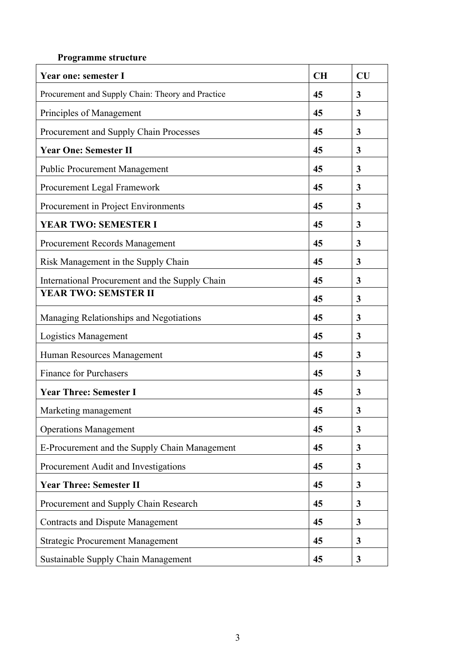#### **Programme structure**

| <b>Year one: semester I</b>                       | <b>CH</b> | CU |
|---------------------------------------------------|-----------|----|
| Procurement and Supply Chain: Theory and Practice | 45        | 3  |
| Principles of Management                          | 45        | 3  |
| Procurement and Supply Chain Processes            | 45        | 3  |
| <b>Year One: Semester II</b>                      | 45        | 3  |
| <b>Public Procurement Management</b>              | 45        | 3  |
| Procurement Legal Framework                       | 45        | 3  |
| Procurement in Project Environments               | 45        | 3  |
| <b>YEAR TWO: SEMESTER I</b>                       | 45        | 3  |
| <b>Procurement Records Management</b>             | 45        | 3  |
| Risk Management in the Supply Chain               | 45        | 3  |
| International Procurement and the Supply Chain    | 45        | 3  |
| <b>YEAR TWO: SEMSTER II</b>                       | 45        | 3  |
| Managing Relationships and Negotiations           | 45        | 3  |
| Logistics Management                              | 45        | 3  |
| Human Resources Management                        | 45        | 3  |
| <b>Finance for Purchasers</b>                     | 45        | 3  |
| <b>Year Three: Semester I</b>                     | 45        | 3  |
| Marketing management                              | 45        | 3  |
| <b>Operations Management</b>                      | 45        | 3  |
| E-Procurement and the Supply Chain Management     | 45        | 3  |
| Procurement Audit and Investigations              | 45        | 3  |
| <b>Year Three: Semester II</b>                    |           | 3  |
| Procurement and Supply Chain Research             | 45        | 3  |
| <b>Contracts and Dispute Management</b>           | 45        | 3  |
| <b>Strategic Procurement Management</b>           | 45        | 3  |
| <b>Sustainable Supply Chain Management</b>        | 45        | 3  |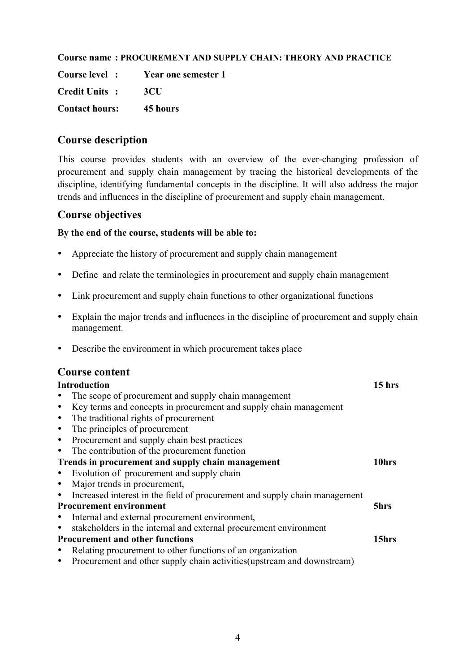#### **Course name : PROCUREMENT AND SUPPLY CHAIN: THEORY AND PRACTICE**

**Course level : Year one semester 1 Credit Units : 3CU**

**Contact hours: 45 hours**

#### **Course description**

This course provides students with an overview of the ever-changing profession of procurement and supply chain management by tracing the historical developments of the discipline, identifying fundamental concepts in the discipline. It will also address the major trends and influences in the discipline of procurement and supply chain management.

### **Course objectives**

#### **By the end of the course, students will be able to:**

- Appreciate the history of procurement and supply chain management
- Define and relate the terminologies in procurement and supply chain management
- Link procurement and supply chain functions to other organizational functions
- Explain the major trends and influences in the discipline of procurement and supply chain management.
- Describe the environment in which procurement takes place

#### **Course content**

|           | <b>Introduction</b>                                                        | 15 hrs |
|-----------|----------------------------------------------------------------------------|--------|
|           | The scope of procurement and supply chain management                       |        |
| $\bullet$ | Key terms and concepts in procurement and supply chain management          |        |
| $\bullet$ | The traditional rights of procurement                                      |        |
| $\bullet$ | The principles of procurement                                              |        |
| $\bullet$ | Procurement and supply chain best practices                                |        |
| $\bullet$ | The contribution of the procurement function                               |        |
|           | Trends in procurement and supply chain management                          | 10hrs  |
| $\bullet$ | Evolution of procurement and supply chain                                  |        |
| $\bullet$ | Major trends in procurement,                                               |        |
| $\bullet$ | Increased interest in the field of procurement and supply chain management |        |
|           | <b>Procurement environment</b>                                             | 5hrs   |
| $\bullet$ | Internal and external procurement environment,                             |        |
|           | stakeholders in the internal and external procurement environment          |        |
|           | <b>Procurement and other functions</b>                                     | 15hrs  |
|           | Relating procurement to other functions of an organization                 |        |
| $\bullet$ | Procurement and other supply chain activities (upstream and downstream)    |        |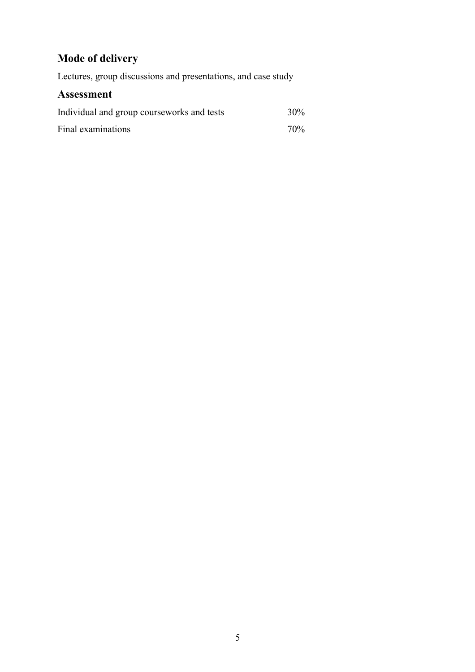# **Mode of delivery**

Lectures, group discussions and presentations, and case study

| Individual and group courseworks and tests | $30\%$ |
|--------------------------------------------|--------|
| Final examinations                         | $70\%$ |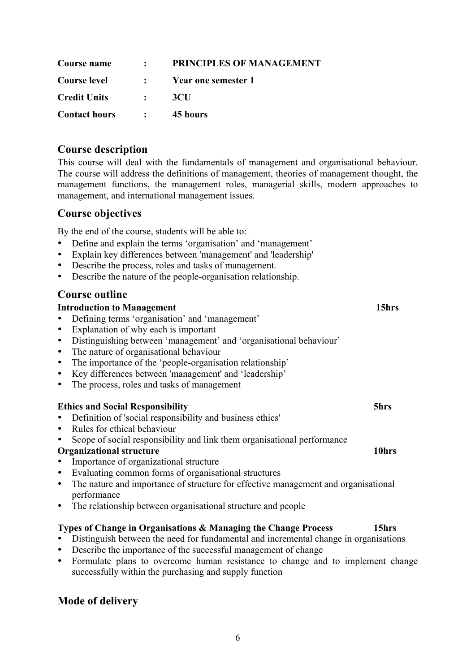| Course name          |                                         | : PRINCIPLES OF MANAGEMENT |
|----------------------|-----------------------------------------|----------------------------|
| <b>Course level</b>  |                                         | : Year one semester 1      |
| <b>Credit Units</b>  |                                         | 3CU                        |
| <b>Contact hours</b> | $\mathcal{L} = \mathcal{L} \mathcal{L}$ | 45 hours                   |

This course will deal with the fundamentals of management and organisational behaviour. The course will address the definitions of management, theories of management thought, the management functions, the management roles, managerial skills, modern approaches to management, and international management issues.

# **Course objectives**

By the end of the course, students will be able to:

- Define and explain the terms 'organisation' and 'management'
- Explain key differences between 'management' and 'leadership'
- Describe the process, roles and tasks of management.
- Describe the nature of the people-organisation relationship.

### **Course outline**

#### **Introduction to Management** 15hrs

- Defining terms 'organisation' and 'management'
- Explanation of why each is important
- Distinguishing between 'management' and 'organisational behaviour'
- The nature of organisational behaviour
- The importance of the 'people-organisation relationship'
- Key differences between 'management' and 'leadership'
- The process, roles and tasks of management

#### **Ethics and Social Responsibility 5hrs**

- Definition of 'social responsibility and business ethics'
- Rules for ethical behaviour
- Scope of social responsibility and link them organisational performance

#### **Organizational structure 10hrs**

- Importance of organizational structure
- Evaluating common forms of organisational structures
- The nature and importance of structure for effective management and organisational performance
- The relationship between organisational structure and people

#### **Types of Change in Organisations & Managing the Change Process 15hrs**

- Distinguish between the need for fundamental and incremental change in organisations
- Describe the importance of the successful management of change
- Formulate plans to overcome human resistance to change and to implement change successfully within the purchasing and supply function

# **Mode of delivery**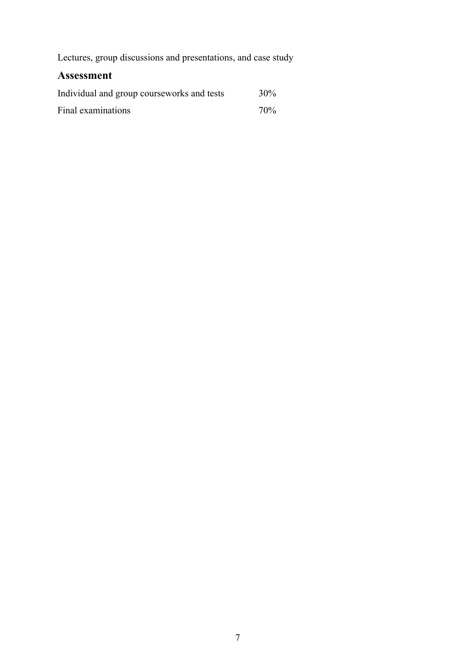Lectures, group discussions and presentations, and case study

| Individual and group courseworks and tests | 30% |
|--------------------------------------------|-----|
| Final examinations                         | 70% |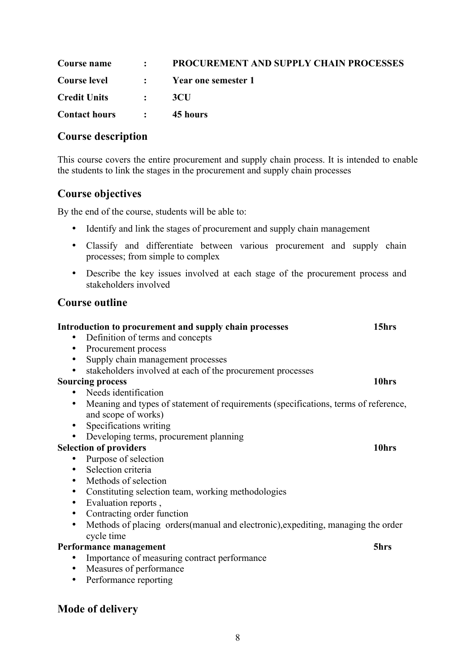|                          | <b>Course name : PROCUREMENT AND SUPPLY CHAIN PROCESSES</b> |
|--------------------------|-------------------------------------------------------------|
|                          | Course level : Year one semester 1                          |
| Credit Units :           | -3CU                                                        |
| Contact hours : 45 hours |                                                             |

This course covers the entire procurement and supply chain process. It is intended to enable the students to link the stages in the procurement and supply chain processes

# **Course objectives**

By the end of the course, students will be able to:

- Identify and link the stages of procurement and supply chain management
- Classify and differentiate between various procurement and supply chain processes; from simple to complex
- Describe the key issues involved at each stage of the procurement process and stakeholders involved

**Introduction to procurement and supply chain processes 15hrs**

### **Course outline**

| $\bullet$               | Definition of terms and concepts                                                    |       |
|-------------------------|-------------------------------------------------------------------------------------|-------|
| ٠                       | Procurement process                                                                 |       |
| $\bullet$               | Supply chain management processes                                                   |       |
| $\bullet$               | stakeholders involved at each of the procurement processes                          |       |
| <b>Sourcing process</b> |                                                                                     | 10hrs |
|                         | • Needs identification                                                              |       |
| $\bullet$               | Meaning and types of statement of requirements (specifications, terms of reference, |       |
|                         | and scope of works)                                                                 |       |
| $\bullet$               | Specifications writing                                                              |       |
|                         | Developing terms, procurement planning                                              |       |
|                         | <b>Selection of providers</b>                                                       | 10hrs |
|                         | Purpose of selection                                                                |       |
| $\bullet$               | Selection criteria                                                                  |       |
| $\bullet$               | Methods of selection                                                                |       |
| $\bullet$               | Constituting selection team, working methodologies                                  |       |
| $\bullet$               | Evaluation reports,                                                                 |       |
| $\bullet$               | Contracting order function                                                          |       |
| $\bullet$               | Methods of placing orders (manual and electronic), expediting, managing the order   |       |
|                         | cycle time                                                                          |       |
|                         | Performance management                                                              | 5hrs  |
| ٠                       | Importance of measuring contract performance                                        |       |
| $\bullet$               | Measures of performance                                                             |       |
| $\bullet$               | Performance reporting                                                               |       |
|                         |                                                                                     |       |

# **Mode of delivery**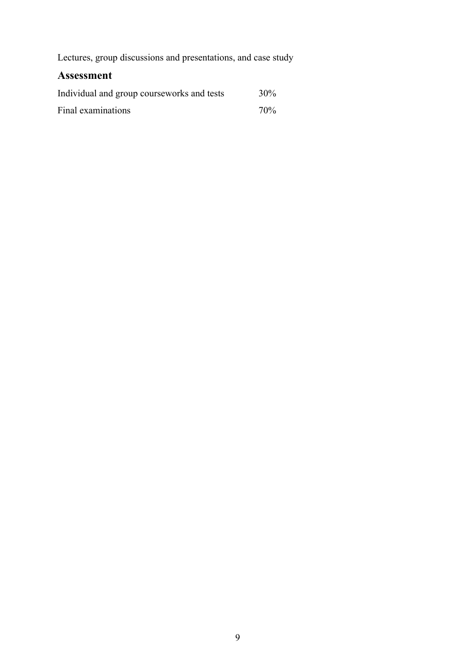Lectures, group discussions and presentations, and case study

| Individual and group courseworks and tests | 30% |
|--------------------------------------------|-----|
| Final examinations                         | 70% |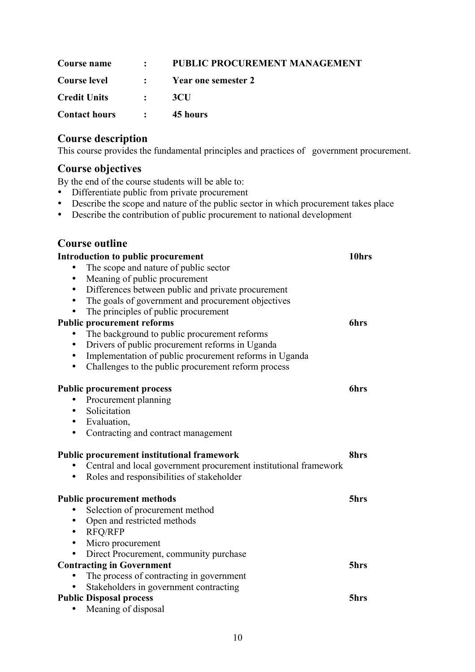|                          | <b>Course name : PUBLIC PROCUREMENT MANAGEMENT</b> |
|--------------------------|----------------------------------------------------|
|                          | Course level : Year one semester 2                 |
| Credit Units :           | -3CH                                               |
| Contact hours : 45 hours |                                                    |

This course provides the fundamental principles and practices of government procurement.

#### **Course objectives**

By the end of the course students will be able to:

- Differentiate public from private procurement
- Describe the scope and nature of the public sector in which procurement takes place
- Describe the contribution of public procurement to national development

| <b>Introduction to public procurement</b>                                     | 10hrs       |
|-------------------------------------------------------------------------------|-------------|
| The scope and nature of public sector                                         |             |
| Meaning of public procurement<br>$\bullet$                                    |             |
| Differences between public and private procurement<br>$\bullet$               |             |
| The goals of government and procurement objectives<br>$\bullet$               |             |
| The principles of public procurement<br>٠                                     |             |
| <b>Public procurement reforms</b>                                             | <b>6hrs</b> |
| The background to public procurement reforms                                  |             |
| Drivers of public procurement reforms in Uganda<br>$\bullet$                  |             |
| Implementation of public procurement reforms in Uganda<br>٠                   |             |
| Challenges to the public procurement reform process<br>$\bullet$              |             |
| <b>Public procurement process</b>                                             | <b>6hrs</b> |
| Procurement planning<br>$\bullet$                                             |             |
| Solicitation                                                                  |             |
| • Evaluation,                                                                 |             |
| Contracting and contract management<br>$\bullet$                              |             |
| <b>Public procurement institutional framework</b>                             | 8hrs        |
| Central and local government procurement institutional framework<br>$\bullet$ |             |
| Roles and responsibilities of stakeholder<br>٠                                |             |
| <b>Public procurement methods</b>                                             | 5hrs        |
| Selection of procurement method                                               |             |
| Open and restricted methods<br>٠                                              |             |
| <b>RFQ/RFP</b><br>$\bullet$                                                   |             |
| Micro procurement<br>$\bullet$                                                |             |
| Direct Procurement, community purchase<br>$\bullet$                           |             |
| <b>Contracting in Government</b>                                              | 5hrs        |
| The process of contracting in government<br>$\bullet$                         |             |
| Stakeholders in government contracting                                        |             |
| <b>Public Disposal process</b>                                                | 5hrs        |
| Meaning of disposal                                                           |             |
|                                                                               |             |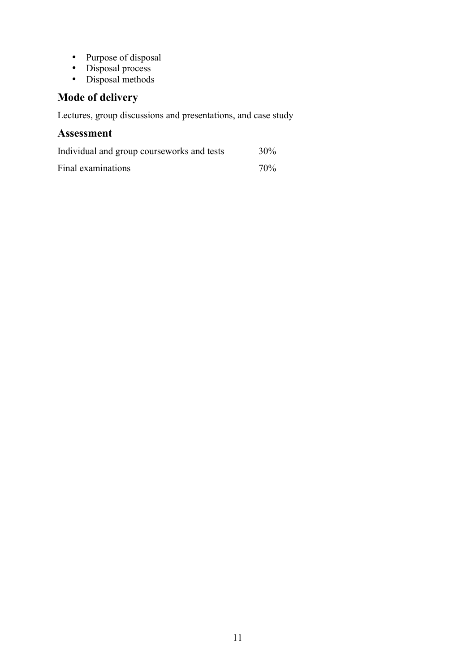- Purpose of disposal
- Disposal process
- Disposal methods

# **Mode of delivery**

Lectures, group discussions and presentations, and case study

| Individual and group courseworks and tests | 30% |
|--------------------------------------------|-----|
| Final examinations                         | 70% |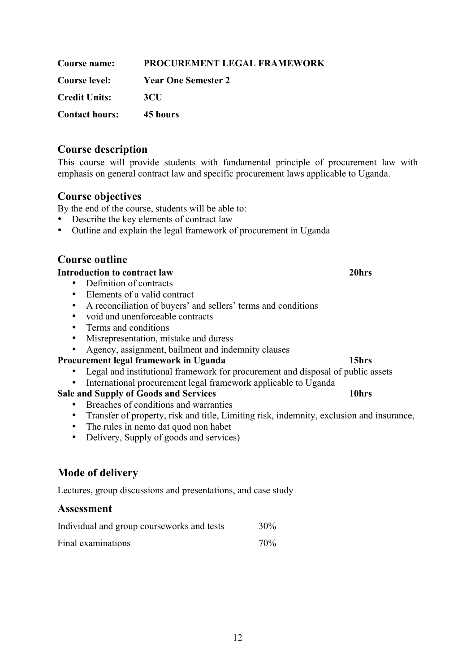| Course name:          | PROCUREMENT LEGAL FRAMEWORK |
|-----------------------|-----------------------------|
| Course level:         | <b>Year One Semester 2</b>  |
| <b>Credit Units:</b>  | 3 <sub>CI</sub>             |
| <b>Contact hours:</b> | 45 hours                    |

This course will provide students with fundamental principle of procurement law with emphasis on general contract law and specific procurement laws applicable to Uganda.

#### **Course objectives**

By the end of the course, students will be able to:

- Describe the key elements of contract law
- Outline and explain the legal framework of procurement in Uganda

# **Course outline**

#### **Introduction to contract law 20hrs**

- Definition of contracts
- Elements of a valid contract
- A reconciliation of buyers' and sellers' terms and conditions
- void and unenforceable contracts
- Terms and conditions
- Misrepresentation, mistake and duress
- Agency, assignment, bailment and indemnity clauses

#### **Procurement legal framework in Uganda 15hrs**

- Legal and institutional framework for procurement and disposal of public assets
- International procurement legal framework applicable to Uganda

#### **Sale and Supply of Goods and Services 10hrs**

- Breaches of conditions and warranties
	- Transfer of property, risk and title, Limiting risk, indemnity, exclusion and insurance,
	- The rules in nemo dat quod non habet
	- Delivery, Supply of goods and services)

# **Mode of delivery**

Lectures, group discussions and presentations, and case study

| Individual and group courseworks and tests | 30% |
|--------------------------------------------|-----|
| Final examinations                         | 70% |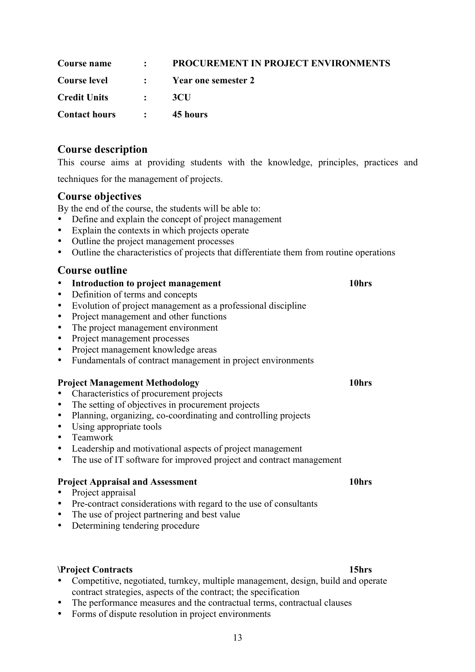| Course name              | : PROCUREMENT IN PROJECT ENVIRONMENTS |
|--------------------------|---------------------------------------|
|                          | Course level : Year one semester 2    |
| Credit Units :           | -3CU                                  |
| <b>Contact hours : :</b> | 45 hours                              |

This course aims at providing students with the knowledge, principles, practices and techniques for the management of projects.

#### **Course objectives**

By the end of the course, the students will be able to:

- Define and explain the concept of project management
- Explain the contexts in which projects operate
- Outline the project management processes
- Outline the characteristics of projects that differentiate them from routine operations

#### **Course outline**

- **Introduction to project management 10hrs**
- Definition of terms and concepts
- Evolution of project management as a professional discipline
- Project management and other functions
- The project management environment
- Project management processes
- Project management knowledge areas
- Fundamentals of contract management in project environments

#### **Project Management Methodology 10hrs**

- Characteristics of procurement projects
- The setting of objectives in procurement projects<br>• Planning organizing co-coordinating and control
- Planning, organizing, co-coordinating and controlling projects
- Using appropriate tools
- Teamwork
- Leadership and motivational aspects of project management
- The use of IT software for improved project and contract management

#### **Project Appraisal and Assessment 10hrs**

- Project appraisal
- Pre-contract considerations with regard to the use of consultants
- The use of project partnering and best value
- Determining tendering procedure

#### **\Project Contracts 15hrs**

- Competitive, negotiated, turnkey, multiple management, design, build and operate contract strategies, aspects of the contract; the specification
- The performance measures and the contractual terms, contractual clauses
- Forms of dispute resolution in project environments

#### 13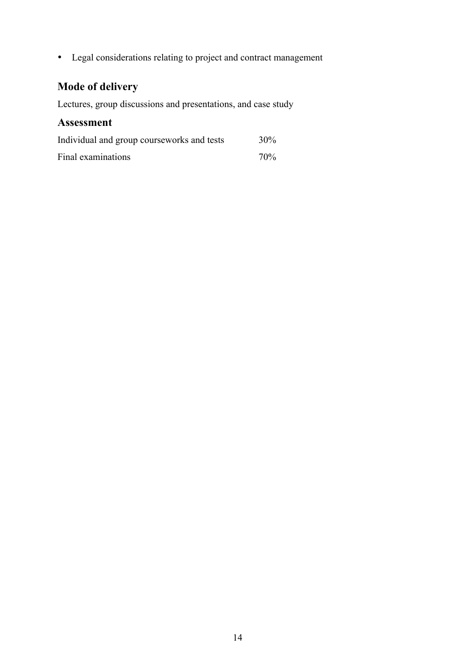• Legal considerations relating to project and contract management

# **Mode of delivery**

Lectures, group discussions and presentations, and case study

| Individual and group courseworks and tests | $30\%$ |
|--------------------------------------------|--------|
| Final examinations                         | 70%    |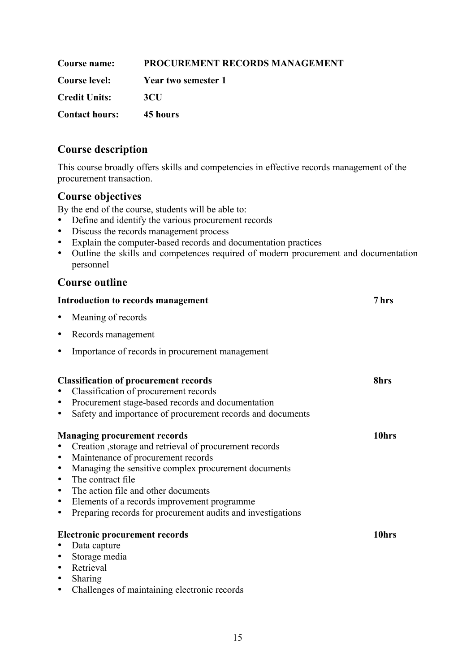| <b>Course name:</b>   | <b>PROCUREMENT RECORDS MANAGEMENT</b> |
|-----------------------|---------------------------------------|
| <b>Course level:</b>  | Year two semester 1                   |
| <b>Credit Units:</b>  | -3CU                                  |
| <b>Contact hours:</b> | 45 hours                              |

This course broadly offers skills and competencies in effective records management of the procurement transaction.

# **Course objectives**

By the end of the course, students will be able to:

- Define and identify the various procurement records
- Discuss the records management process
- Explain the computer-based records and documentation practices
- Outline the skills and competences required of modern procurement and documentation personnel

|                                                                            | Introduction to records management                                                                                                                                                                                                                                                                                                                                      | 7 hrs             |
|----------------------------------------------------------------------------|-------------------------------------------------------------------------------------------------------------------------------------------------------------------------------------------------------------------------------------------------------------------------------------------------------------------------------------------------------------------------|-------------------|
| $\bullet$                                                                  | Meaning of records                                                                                                                                                                                                                                                                                                                                                      |                   |
| $\bullet$                                                                  | Records management                                                                                                                                                                                                                                                                                                                                                      |                   |
|                                                                            | Importance of records in procurement management                                                                                                                                                                                                                                                                                                                         |                   |
|                                                                            | <b>Classification of procurement records</b><br>Classification of procurement records                                                                                                                                                                                                                                                                                   | 8hrs              |
| $\bullet$<br>$\bullet$                                                     | Procurement stage-based records and documentation<br>Safety and importance of procurement records and documents                                                                                                                                                                                                                                                         |                   |
| $\bullet$<br>$\bullet$<br>$\bullet$<br>$\bullet$<br>$\bullet$<br>$\bullet$ | <b>Managing procurement records</b><br>Creation , storage and retrieval of procurement records<br>Maintenance of procurement records<br>Managing the sensitive complex procurement documents<br>The contract file<br>The action file and other documents<br>Elements of a records improvement programme.<br>Preparing records for procurement audits and investigations | 10 <sub>hrs</sub> |
| $\bullet$<br>$\bullet$<br>$\bullet$<br>$\bullet$<br>$\bullet$              | <b>Electronic procurement records</b><br>Data capture<br>Storage media<br>Retrieval<br>Sharing<br>Challenges of maintaining electronic records                                                                                                                                                                                                                          | 10hrs             |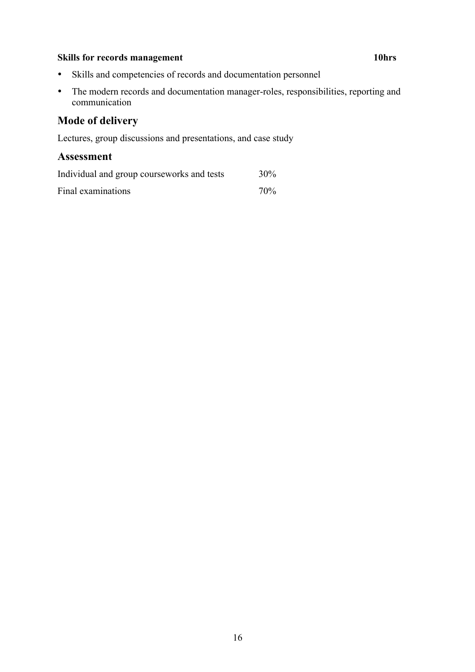#### **Skills for records management 10hrs**

- Skills and competencies of records and documentation personnel
- The modern records and documentation manager-roles, responsibilities, reporting and communication

# **Mode of delivery**

Lectures, group discussions and presentations, and case study

| Individual and group courseworks and tests | 30% |
|--------------------------------------------|-----|
| Final examinations                         | 70% |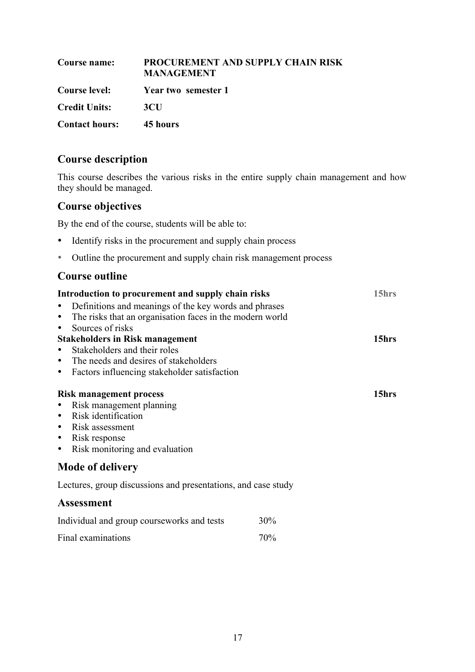| Course name:          | PROCUREMENT AND SUPPLY CHAIN RISK<br><b>MANAGEMENT</b> |
|-----------------------|--------------------------------------------------------|
| <b>Course level:</b>  | Year two semester 1                                    |
| <b>Credit Units:</b>  | 3 <sub>CI</sub>                                        |
| <b>Contact hours:</b> | 45 hours                                               |

This course describes the various risks in the entire supply chain management and how they should be managed.

# **Course objectives**

By the end of the course, students will be able to:

- Identify risks in the procurement and supply chain process
- Outline the procurement and supply chain risk management process

| Introduction to procurement and supply chain risks            |     | 15hrs |
|---------------------------------------------------------------|-----|-------|
| Definitions and meanings of the key words and phrases         |     |       |
| The risks that an organisation faces in the modern world<br>٠ |     |       |
| Sources of risks<br>٠                                         |     |       |
| <b>Stakeholders in Risk management</b>                        |     | 15hrs |
| Stakeholders and their roles                                  |     |       |
| The needs and desires of stakeholders<br>٠                    |     |       |
| Factors influencing stakeholder satisfaction<br>٠             |     |       |
|                                                               |     |       |
| <b>Risk management process</b>                                |     | 15hrs |
| Risk management planning                                      |     |       |
| Risk identification<br>٠                                      |     |       |
| Risk assessment<br>$\bullet$                                  |     |       |
| Risk response<br>٠                                            |     |       |
| Risk monitoring and evaluation<br>$\bullet$                   |     |       |
| <b>Mode of delivery</b>                                       |     |       |
| Lectures, group discussions and presentations, and case study |     |       |
| <b>Assessment</b>                                             |     |       |
| Individual and group courseworks and tests                    | 30% |       |
| Final examinations                                            | 70% |       |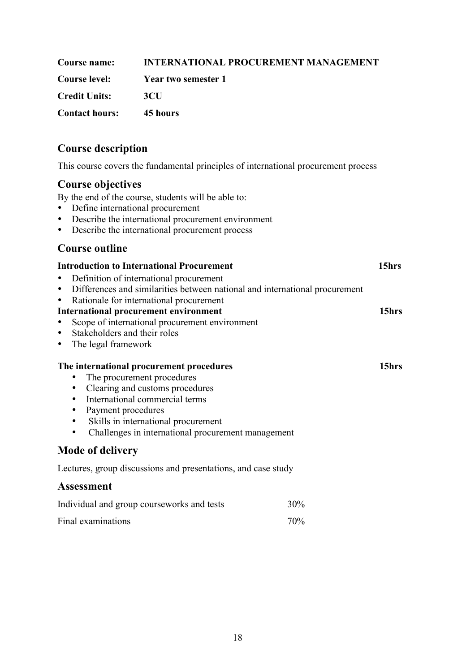| Course name:                   | <b>INTERNATIONAL PROCUREMENT MANAGEMENT</b> |
|--------------------------------|---------------------------------------------|
| <b>Course level:</b>           | Year two semester 1                         |
| <b>Credit Units:</b>           | 3CH                                         |
| <b>Contact hours:</b> 45 hours |                                             |

This course covers the fundamental principles of international procurement process

# **Course objectives**

By the end of the course, students will be able to:

- Define international procurement<br>• Describe the international procure
- Describe the international procurement environment<br>• Describe the international procurement process
- Describe the international procurement process

| <b>Introduction to International Procurement</b>                                                                                                                                                                                                                                                                                                  |       |  |
|---------------------------------------------------------------------------------------------------------------------------------------------------------------------------------------------------------------------------------------------------------------------------------------------------------------------------------------------------|-------|--|
| Definition of international procurement<br>Differences and similarities between national and international procurement<br>$\bullet$<br>Rationale for international procurement<br>٠<br><b>International procurement environment</b><br>Scope of international procurement environment<br>Stakeholders and their roles<br>The legal framework<br>٠ | 15hrs |  |
| The international procurement procedures<br>The procurement procedures<br>Clearing and customs procedures<br>٠<br>International commercial terms<br>Payment procedures<br>٠<br>Skills in international procurement<br>Challenges in international procurement management<br>٠                                                                     | 15hrs |  |
| <b>Mode of delivery</b>                                                                                                                                                                                                                                                                                                                           |       |  |
| Lectures, group discussions and presentations, and case study                                                                                                                                                                                                                                                                                     |       |  |
| <b>Assessment</b>                                                                                                                                                                                                                                                                                                                                 |       |  |
| Individual and group courseworks and tests<br>30%                                                                                                                                                                                                                                                                                                 |       |  |

| Final examinations | 70% |
|--------------------|-----|
|                    |     |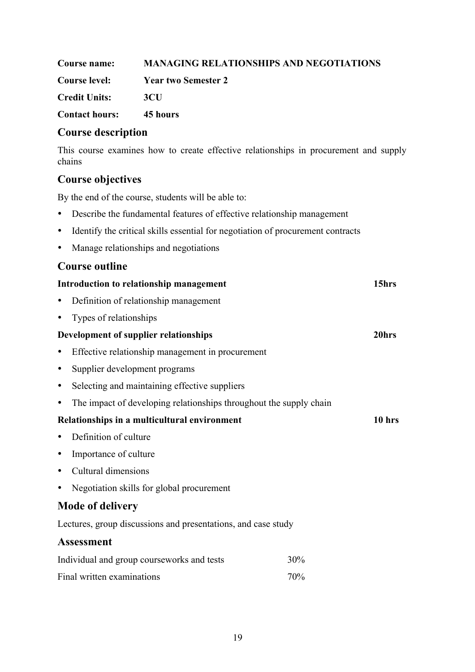| Course name:          | <b>MANAGING RELATIONSHIPS AND NEGOTIATIONS</b> |
|-----------------------|------------------------------------------------|
| <b>Course level:</b>  | Year two Semester 2                            |
| <b>Credit Units:</b>  | 3CH                                            |
| <b>Contact hours:</b> | 45 hours                                       |

This course examines how to create effective relationships in procurement and supply chains

### **Course objectives**

By the end of the course, students will be able to:

- Describe the fundamental features of effective relationship management
- Identify the critical skills essential for negotiation of procurement contracts
- Manage relationships and negotiations

| Introduction to relationship management                            | 15hrs    |
|--------------------------------------------------------------------|----------|
| Definition of relationship management                              |          |
| Types of relationships<br>٠                                        |          |
| Development of supplier relationships                              | 20hrs    |
| Effective relationship management in procurement<br>٠              |          |
| Supplier development programs<br>٠                                 |          |
| Selecting and maintaining effective suppliers<br>٠                 |          |
| The impact of developing relationships throughout the supply chain |          |
| Relationships in a multicultural environment                       | $10$ hrs |
| Definition of culture                                              |          |
| Importance of culture                                              |          |
| Cultural dimensions                                                |          |
| Negotiation skills for global procurement                          |          |
| <b>Mode of delivery</b>                                            |          |
| Lectures, group discussions and presentations, and case study      |          |
| <b>Assessment</b>                                                  |          |
| Individual and group courseworks and tests                         | 30%      |
| Final written examinations                                         | 70%      |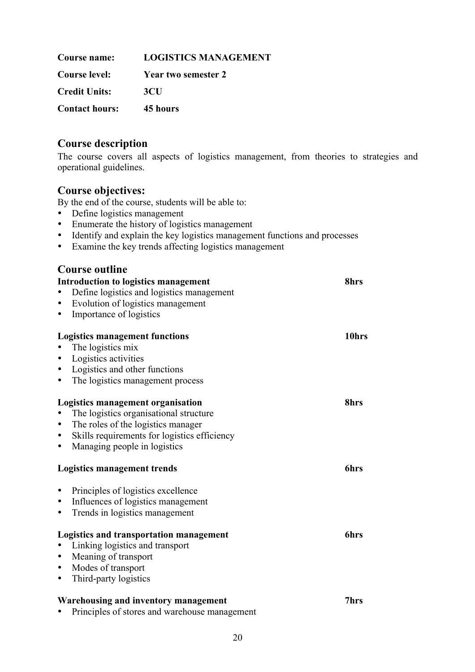| Course name:          | <b>LOGISTICS MANAGEMENT</b> |
|-----------------------|-----------------------------|
| <b>Course level:</b>  | Year two semester 2         |
| <b>Credit Units:</b>  | 3 <sub>CI</sub>             |
| <b>Contact hours:</b> | 45 hours                    |

The course covers all aspects of logistics management, from theories to strategies and operational guidelines.

### **Course objectives:**

By the end of the course, students will be able to:

- Define logistics management
- Enumerate the history of logistics management
- Identify and explain the key logistics management functions and processes
- Examine the key trends affecting logistics management

| <b>Course outline</b>                             |       |
|---------------------------------------------------|-------|
| <b>Introduction to logistics management</b>       | 8hrs  |
| Define logistics and logistics management         |       |
| Evolution of logistics management                 |       |
| Importance of logistics                           |       |
| <b>Logistics management functions</b>             | 10hrs |
| The logistics mix                                 |       |
| Logistics activities                              |       |
| Logistics and other functions                     |       |
| The logistics management process                  |       |
| Logistics management organisation                 | 8hrs  |
| The logistics organisational structure            |       |
| The roles of the logistics manager                |       |
| Skills requirements for logistics efficiency<br>٠ |       |
| Managing people in logistics                      |       |
| Logistics management trends                       | 6hrs  |
| Principles of logistics excellence                |       |
| Influences of logistics management<br>٠           |       |
| Trends in logistics management                    |       |
| <b>Logistics and transportation management</b>    | 6hrs  |
| Linking logistics and transport                   |       |
| Meaning of transport<br>٠                         |       |
| Modes of transport<br>٠                           |       |
| Third-party logistics<br>٠                        |       |
| Warehousing and inventory management              | 7hrs  |
| Principles of stores and warehouse management     |       |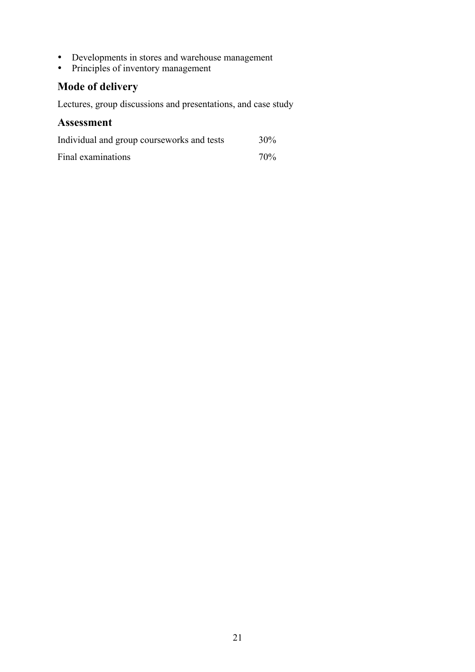- Developments in stores and warehouse management
- Principles of inventory management

# **Mode of delivery**

Lectures, group discussions and presentations, and case study

| Individual and group courseworks and tests | $30\%$ |
|--------------------------------------------|--------|
| Final examinations                         | 70%    |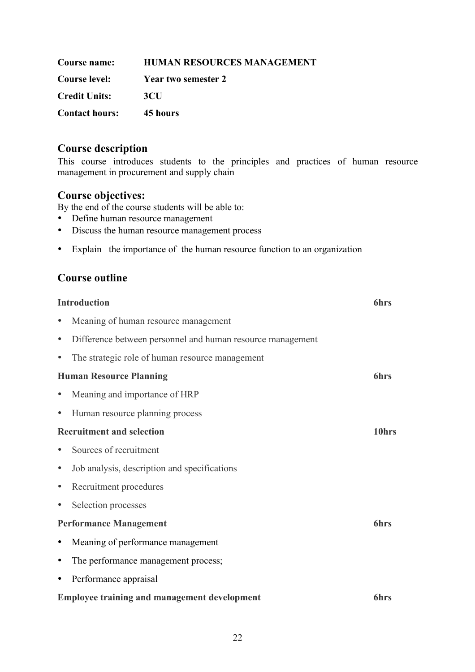| Course name:          | <b>HUMAN RESOURCES MANAGEMENT</b> |
|-----------------------|-----------------------------------|
| <b>Course level:</b>  | Year two semester 2               |
| <b>Credit Units:</b>  | 3CH                               |
| <b>Contact hours:</b> | 45 hours                          |

This course introduces students to the principles and practices of human resource management in procurement and supply chain

#### **Course objectives:**

By the end of the course students will be able to:

- Define human resource management
- Discuss the human resource management process
- Explain the importance of the human resource function to an organization

|           | <b>Introduction</b>                                        | <b>6hrs</b> |
|-----------|------------------------------------------------------------|-------------|
|           | Meaning of human resource management                       |             |
| ٠         | Difference between personnel and human resource management |             |
| $\bullet$ | The strategic role of human resource management            |             |
|           | <b>Human Resource Planning</b>                             | <b>6hrs</b> |
|           | Meaning and importance of HRP                              |             |
| ٠         | Human resource planning process                            |             |
|           | <b>Recruitment and selection</b>                           | 10hrs       |
|           | Sources of recruitment                                     |             |
| ٠         | Job analysis, description and specifications               |             |
| $\bullet$ | Recruitment procedures                                     |             |
| ٠         | Selection processes                                        |             |
|           | <b>Performance Management</b>                              | <b>6hrs</b> |
| ٠         | Meaning of performance management                          |             |
| ٠         | The performance management process;                        |             |
| $\bullet$ | Performance appraisal                                      |             |
|           | <b>Employee training and management development</b>        | <b>6hrs</b> |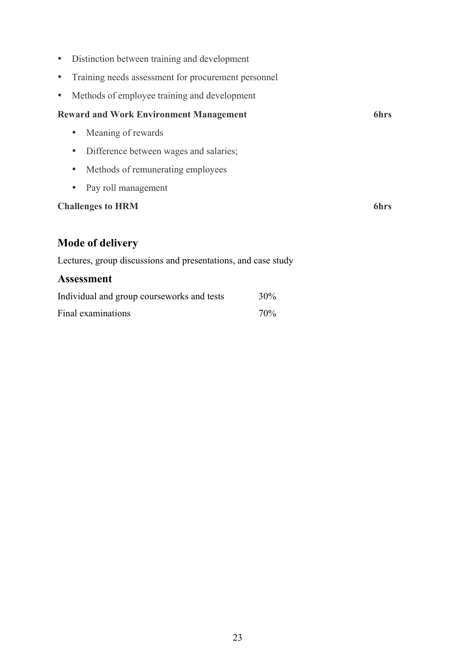- Distinction between training and development
- Training needs assessment for procurement personnel
- Methods of employee training and development

#### **Reward and Work Environment Management 6hrs**

- Meaning of rewards
- Difference between wages and salaries;
- Methods of remunerating employees
- Pay roll management

#### **Challenges to HRM 6hrs**

# **Mode of delivery**

Lectures, group discussions and presentations, and case study

| Individual and group courseworks and tests | 30%             |
|--------------------------------------------|-----------------|
| Final examinations                         | 70 <sub>%</sub> |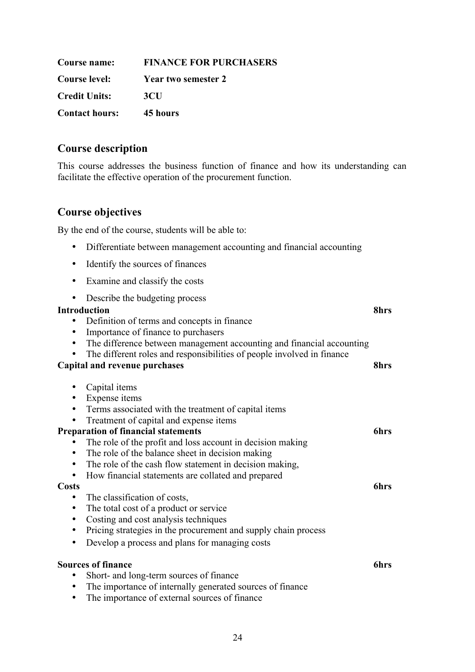| <b>Course name:</b>   | <b>FINANCE FOR PURCHASERS</b> |
|-----------------------|-------------------------------|
| <b>Course level:</b>  | <b>Year two semester 2</b>    |
| <b>Credit Units:</b>  | 3CU                           |
| <b>Contact hours:</b> | 45 hours                      |

This course addresses the business function of finance and how its understanding can facilitate the effective operation of the procurement function.

### **Course objectives**

By the end of the course, students will be able to:

- Differentiate between management accounting and financial accounting
- Identify the sources of finances
- Examine and classify the costs
- Describe the budgeting process

#### **Introduction 8hrs**

- Definition of terms and concepts in finance
- Importance of finance to purchasers
- The difference between management accounting and financial accounting
- The different roles and responsibilities of people involved in finance

#### **Capital and revenue purchases 8hrs**

- Capital items
- Expense items
- Terms associated with the treatment of capital items
- Treatment of capital and expense items

#### **Preparation of financial statements 6hrs**

- The role of the profit and loss account in decision making
- The role of the balance sheet in decision making
- The role of the cash flow statement in decision making,

• How financial statements are collated and prepared

#### **Costs 6hrs**

- The classification of costs,
- The total cost of a product or service
- Costing and cost analysis techniques
- Pricing strategies in the procurement and supply chain process
- Develop a process and plans for managing costs

#### **Sources of finance 6hrs**

- Short- and long-term sources of finance
- The importance of internally generated sources of finance
- The importance of external sources of finance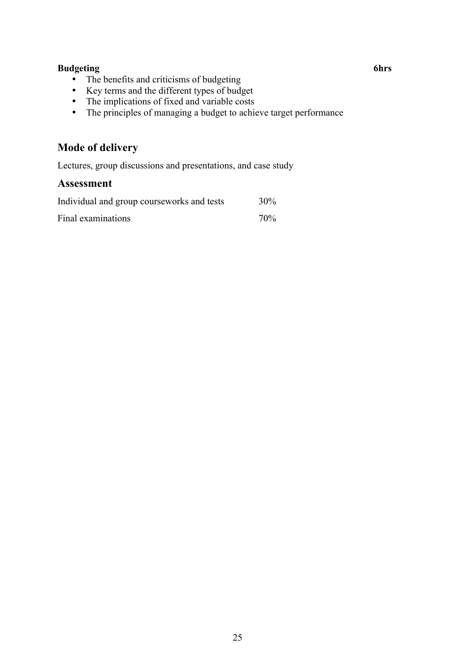#### **Budgeting 6hrs**

- The benefits and criticisms of budgeting
- Key terms and the different types of budget
- The implications of fixed and variable costs
- The principles of managing a budget to achieve target performance

# **Mode of delivery**

Lectures, group discussions and presentations, and case study

| Individual and group courseworks and tests | 30% |
|--------------------------------------------|-----|
| Final examinations                         | 70% |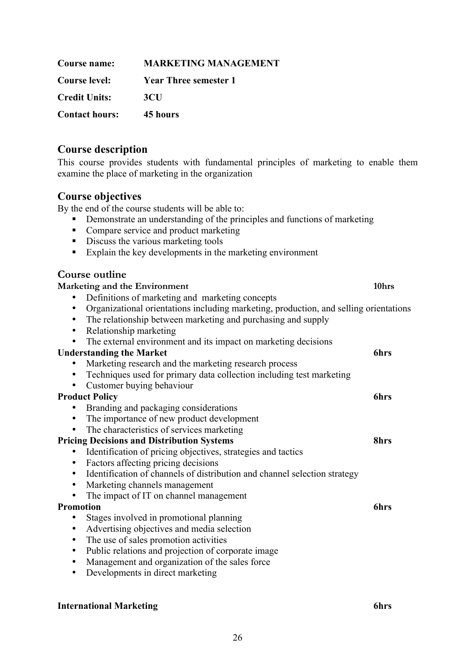| Course name:          | <b>MARKETING MANAGEMENT</b>  |
|-----------------------|------------------------------|
| <b>Course level:</b>  | <b>Year Three semester 1</b> |
| <b>Credit Units:</b>  | <b>3CU</b>                   |
| <b>Contact hours:</b> | 45 hours                     |

This course provides students with fundamental principles of marketing to enable them examine the place of marketing in the organization

#### **Course objectives**

By the end of the course students will be able to:

- Demonstrate an understanding of the principles and functions of marketing
- Compare service and product marketing
- Discuss the various marketing tools
- Explain the key developments in the marketing environment

| Course outline                                                                                                                                                          |       |
|-------------------------------------------------------------------------------------------------------------------------------------------------------------------------|-------|
| Marketing and the Environment                                                                                                                                           | 10hrs |
| Definitions of marketing and marketing concepts                                                                                                                         |       |
| Organizational orientations including marketing, production, and selling orientations<br>٠<br>The relationship between marketing and purchasing and supply<br>$\bullet$ |       |
| Relationship marketing<br>$\bullet$                                                                                                                                     |       |
| The external environment and its impact on marketing decisions<br>$\bullet$                                                                                             |       |
| <b>Understanding the Market</b>                                                                                                                                         | 6hrs  |
| Marketing research and the marketing research process                                                                                                                   |       |
| Techniques used for primary data collection including test marketing<br>$\bullet$                                                                                       |       |
| Customer buying behaviour                                                                                                                                               |       |
| <b>Product Policy</b>                                                                                                                                                   | 6hrs  |
| Branding and packaging considerations                                                                                                                                   |       |
| The importance of new product development                                                                                                                               |       |
| The characteristics of services marketing<br>$\bullet$                                                                                                                  |       |
| <b>Pricing Decisions and Distribution Systems</b>                                                                                                                       | 8hrs  |
| Identification of pricing objectives, strategies and tactics<br>$\bullet$                                                                                               |       |
| Factors affecting pricing decisions<br>$\bullet$                                                                                                                        |       |
| Identification of channels of distribution and channel selection strategy<br>$\bullet$                                                                                  |       |
| Marketing channels management<br>$\bullet$                                                                                                                              |       |
| The impact of IT on channel management<br>$\bullet$                                                                                                                     |       |
| <b>Promotion</b>                                                                                                                                                        | 6hrs  |
| Stages involved in promotional planning                                                                                                                                 |       |
| Advertising objectives and media selection<br>$\bullet$                                                                                                                 |       |
| The use of sales promotion activities<br>٠                                                                                                                              |       |
| Public relations and projection of corporate image<br>$\bullet$                                                                                                         |       |
| Management and organization of the sales force<br>$\bullet$                                                                                                             |       |
| Developments in direct marketing<br>$\bullet$                                                                                                                           |       |
|                                                                                                                                                                         |       |

#### **International Marketing 6hrs**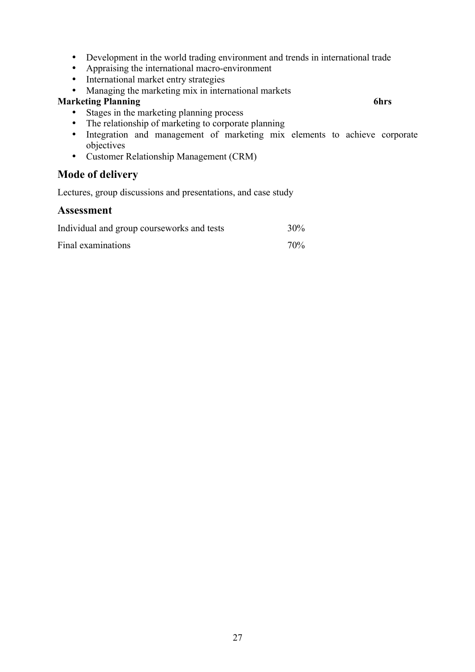- Development in the world trading environment and trends in international trade
- Appraising the international macro-environment
- International market entry strategies
- Managing the marketing mix in international markets

#### **Marketing Planning 6hrs**

- Stages in the marketing planning process
- The relationship of marketing to corporate planning
- Integration and management of marketing mix elements to achieve corporate objectives
- Customer Relationship Management (CRM)

# **Mode of delivery**

Lectures, group discussions and presentations, and case study

| Individual and group courseworks and tests | 30%    |
|--------------------------------------------|--------|
| Final examinations                         | $70\%$ |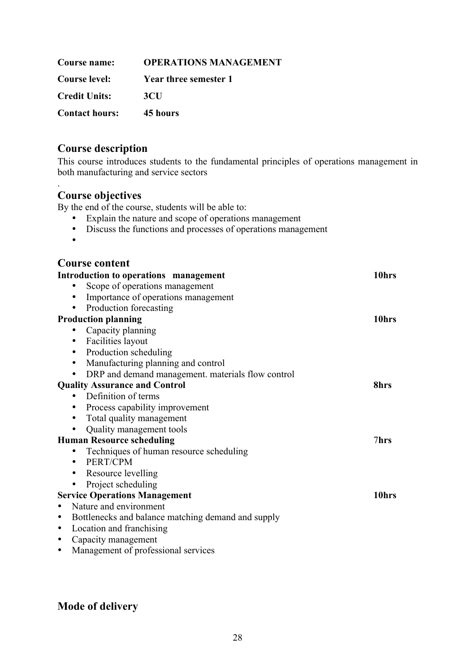| Course name:          | <b>OPERATIONS MANAGEMENT</b> |
|-----------------------|------------------------------|
| Course level:         | Year three semester 1        |
| <b>Credit Units:</b>  | 3 <sub>CI</sub>              |
| <b>Contact hours:</b> | 45 hours                     |

This course introduces students to the fundamental principles of operations management in both manufacturing and service sectors

#### **Course objectives**

By the end of the course, students will be able to:

- Explain the nature and scope of operations management
- Discuss the functions and processes of operations management
- •

.

#### **Course content**

| Introduction to operations management                           | 10hrs |
|-----------------------------------------------------------------|-------|
| Scope of operations management                                  |       |
| Importance of operations management                             |       |
| Production forecasting                                          |       |
| <b>Production planning</b>                                      | 10hrs |
| Capacity planning<br>٠                                          |       |
| Facilities layout<br>$\bullet$                                  |       |
| Production scheduling<br>$\bullet$                              |       |
| Manufacturing planning and control<br>$\bullet$                 |       |
| DRP and demand management. materials flow control<br>٠          |       |
| <b>Quality Assurance and Control</b><br>8hrs                    |       |
| Definition of terms                                             |       |
| Process capability improvement<br>٠                             |       |
| Total quality management<br>٠                                   |       |
| Quality management tools                                        |       |
| <b>Human Resource scheduling</b><br>7hrs                        |       |
| Techniques of human resource scheduling                         |       |
| PERT/CPM<br>$\bullet$                                           |       |
| Resource levelling<br>٠                                         |       |
| Project scheduling<br>$\bullet$                                 |       |
| <b>Service Operations Management</b>                            | 10hrs |
| Nature and environment<br>$\bullet$                             |       |
| Bottlenecks and balance matching demand and supply<br>$\bullet$ |       |
| Location and franchising<br>$\bullet$                           |       |
| Capacity management<br>٠                                        |       |
| Management of professional services<br>$\bullet$                |       |

**Mode of delivery**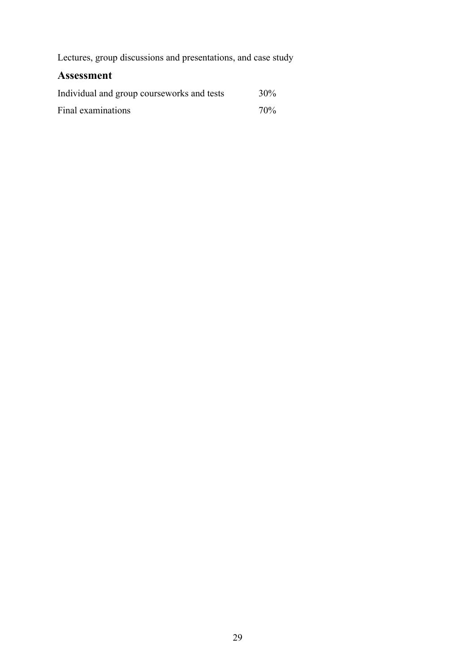Lectures, group discussions and presentations, and case study

| Individual and group courseworks and tests | 30% |
|--------------------------------------------|-----|
| Final examinations                         | 70% |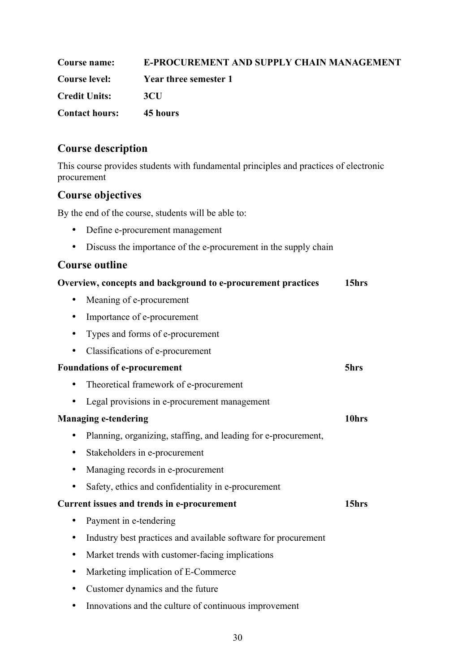| <b>Course name:</b>   | <b>E-PROCUREMENT AND SUPPLY CHAIN MANAGEMENT</b> |
|-----------------------|--------------------------------------------------|
| Course level:         | Year three semester 1                            |
| <b>Credit Units:</b>  | -3CH                                             |
| <b>Contact hours:</b> | 45 hours                                         |

This course provides students with fundamental principles and practices of electronic procurement

# **Course objectives**

By the end of the course, students will be able to:

- Define e-procurement management
- Discuss the importance of the e-procurement in the supply chain

### **Course outline**

| 15hrs |
|-------|
|       |
|       |
|       |
|       |
| 5hrs  |
|       |
|       |
| 10hrs |
|       |
|       |
|       |
|       |
| 15hrs |
|       |
|       |
|       |
|       |
|       |
|       |

• Innovations and the culture of continuous improvement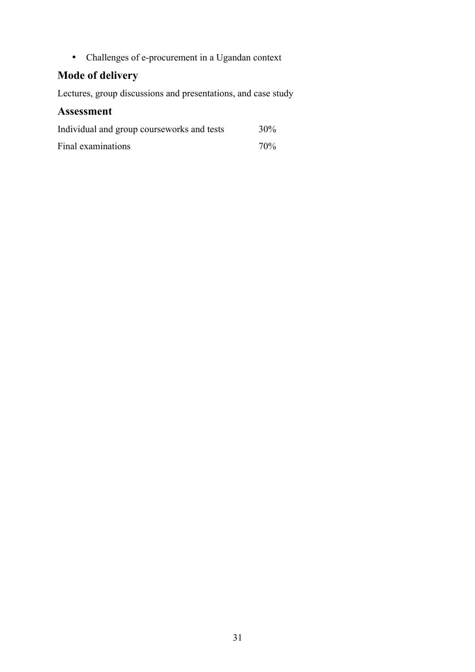• Challenges of e-procurement in a Ugandan context

# **Mode of delivery**

Lectures, group discussions and presentations, and case study

| Individual and group courseworks and tests | $30\%$          |
|--------------------------------------------|-----------------|
| Final examinations                         | 70 <sub>%</sub> |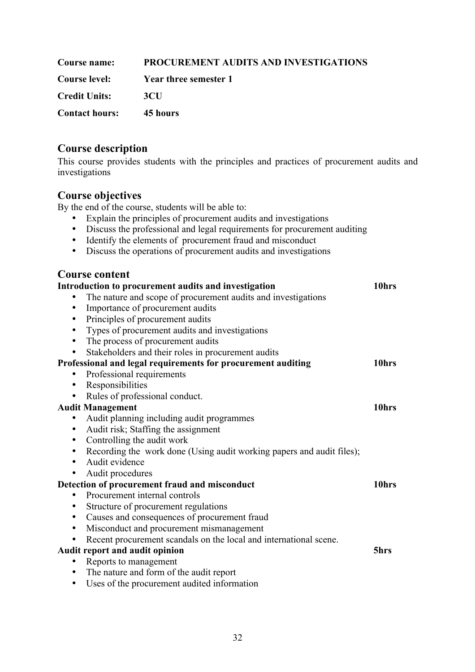| Course name:          | PROCUREMENT AUDITS AND INVESTIGATIONS |
|-----------------------|---------------------------------------|
| <b>Course level:</b>  | Year three semester 1                 |
| <b>Credit Units:</b>  | 3CH                                   |
| <b>Contact hours:</b> | 45 hours                              |

This course provides students with the principles and practices of procurement audits and investigations

#### **Course objectives**

By the end of the course, students will be able to:

- Explain the principles of procurement audits and investigations
- Discuss the professional and legal requirements for procurement auditing
- Identify the elements of procurement fraud and misconduct
- Discuss the operations of procurement audits and investigations

| <b>Course content</b>                                                              |       |
|------------------------------------------------------------------------------------|-------|
| Introduction to procurement audits and investigation                               | 10hrs |
| The nature and scope of procurement audits and investigations                      |       |
| Importance of procurement audits<br>$\bullet$                                      |       |
| Principles of procurement audits<br>$\bullet$                                      |       |
| Types of procurement audits and investigations<br>٠                                |       |
| The process of procurement audits<br>$\bullet$                                     |       |
| Stakeholders and their roles in procurement audits<br>$\bullet$                    |       |
| Professional and legal requirements for procurement auditing                       | 10hrs |
| Professional requirements<br>$\bullet$                                             |       |
| Responsibilities<br>٠                                                              |       |
| Rules of professional conduct.<br>$\bullet$                                        |       |
| <b>Audit Management</b>                                                            | 10hrs |
| Audit planning including audit programmes<br>٠                                     |       |
| Audit risk; Staffing the assignment<br>$\bullet$                                   |       |
| Controlling the audit work<br>$\bullet$                                            |       |
| Recording the work done (Using audit working papers and audit files);<br>$\bullet$ |       |
| Audit evidence<br>$\bullet$                                                        |       |
| Audit procedures                                                                   |       |
| Detection of procurement fraud and misconduct                                      | 10hrs |
| Procurement internal controls<br>$\bullet$                                         |       |
| Structure of procurement regulations<br>$\bullet$                                  |       |
| Causes and consequences of procurement fraud<br>$\bullet$                          |       |
| Misconduct and procurement mismanagement<br>$\bullet$                              |       |
| Recent procurement scandals on the local and international scene.<br>$\bullet$     |       |
| Audit report and audit opinion                                                     | 5hrs  |
| Reports to management<br>٠                                                         |       |
| The nature and form of the audit report<br>$\bullet$                               |       |

• Uses of the procurement audited information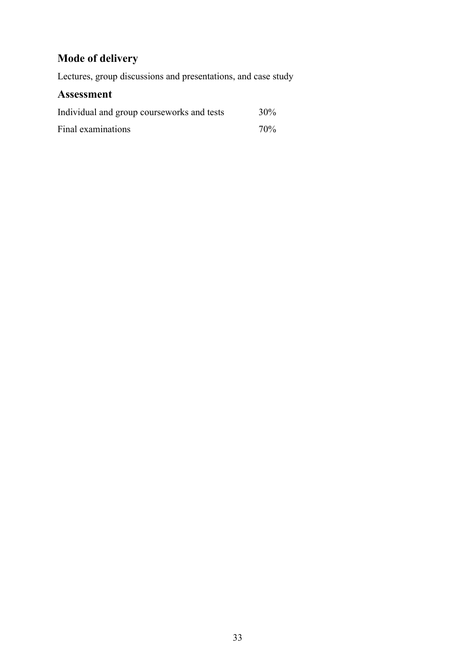# **Mode of delivery**

Lectures, group discussions and presentations, and case study

| Individual and group courseworks and tests | 30% |
|--------------------------------------------|-----|
| Final examinations                         | 70% |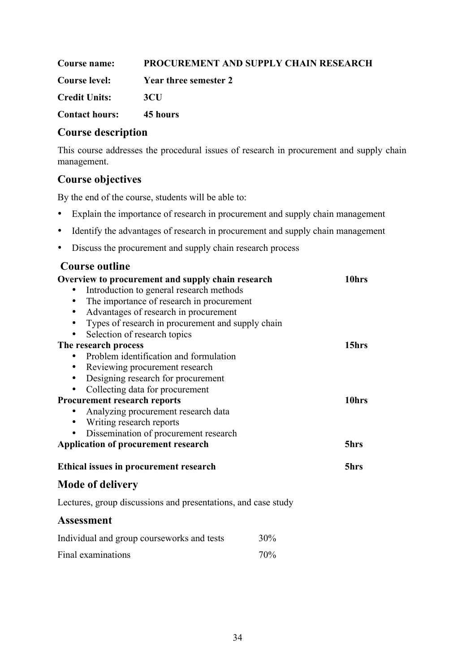**Course name: PROCUREMENT AND SUPPLY CHAIN RESEARCH Course level: Year three semester 2 Credit Units: 3CU Contact hours: 45 hours**

### **Course description**

This course addresses the procedural issues of research in procurement and supply chain management.

# **Course objectives**

By the end of the course, students will be able to:

- Explain the importance of research in procurement and supply chain management
- Identify the advantages of research in procurement and supply chain management
- Discuss the procurement and supply chain research process

| Overview to procurement and supply chain research             |     | 10hrs |
|---------------------------------------------------------------|-----|-------|
| Introduction to general research methods                      |     |       |
| The importance of research in procurement<br>$\bullet$        |     |       |
| Advantages of research in procurement<br>$\bullet$            |     |       |
| Types of research in procurement and supply chain             |     |       |
| Selection of research topics                                  |     |       |
| The research process                                          |     | 15hrs |
| Problem identification and formulation                        |     |       |
| Reviewing procurement research<br>٠                           |     |       |
| Designing research for procurement<br>$\bullet$               |     |       |
| Collecting data for procurement<br>$\bullet$                  |     |       |
| Procurement research reports                                  |     | 10hrs |
| Analyzing procurement research data                           |     |       |
| Writing research reports<br>$\bullet$                         |     |       |
| Dissemination of procurement research                         |     |       |
| <b>Application of procurement research</b>                    |     | 5hrs  |
| Ethical issues in procurement research                        |     | 5hrs  |
| <b>Mode of delivery</b>                                       |     |       |
| Lectures, group discussions and presentations, and case study |     |       |
| <b>Assessment</b>                                             |     |       |
| Individual and group courseworks and tests                    | 30% |       |
| Final examinations                                            | 70% |       |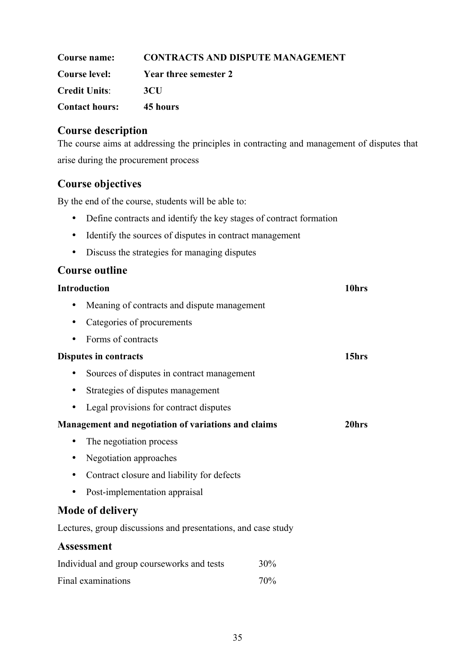| Course name:          | <b>CONTRACTS AND DISPUTE MANAGEMENT</b> |
|-----------------------|-----------------------------------------|
| <b>Course level:</b>  | Year three semester 2                   |
| <b>Credit Units:</b>  | 3CU                                     |
| <b>Contact hours:</b> | 45 hours                                |

The course aims at addressing the principles in contracting and management of disputes that arise during the procurement process

# **Course objectives**

By the end of the course, students will be able to:

- Define contracts and identify the key stages of contract formation
- Identify the sources of disputes in contract management
- Discuss the strategies for managing disputes

| Introduction                                        |                                                               | 10hrs |       |
|-----------------------------------------------------|---------------------------------------------------------------|-------|-------|
| ٠                                                   | Meaning of contracts and dispute management                   |       |       |
| ٠                                                   | Categories of procurements                                    |       |       |
| ٠                                                   | Forms of contracts                                            |       |       |
| Disputes in contracts                               |                                                               |       | 15hrs |
| ٠                                                   | Sources of disputes in contract management                    |       |       |
| ٠                                                   | Strategies of disputes management                             |       |       |
|                                                     | Legal provisions for contract disputes                        |       |       |
| Management and negotiation of variations and claims |                                                               | 20hrs |       |
| ٠                                                   | The negotiation process                                       |       |       |
| ٠                                                   | Negotiation approaches                                        |       |       |
| ٠                                                   | Contract closure and liability for defects                    |       |       |
| ٠                                                   | Post-implementation appraisal                                 |       |       |
|                                                     | <b>Mode of delivery</b>                                       |       |       |
|                                                     | Lectures, group discussions and presentations, and case study |       |       |
|                                                     | <b>Assessment</b>                                             |       |       |
| Individual and group courseworks and tests<br>30%   |                                                               |       |       |
|                                                     | Final examinations                                            | 70%   |       |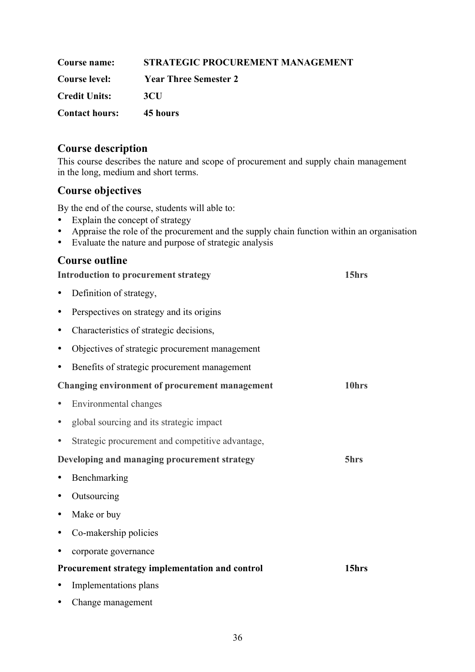| Course name:          | STRATEGIC PROCUREMENT MANAGEMENT |
|-----------------------|----------------------------------|
| <b>Course level:</b>  | <b>Year Three Semester 2</b>     |
| <b>Credit Units:</b>  | 3CH                              |
| <b>Contact hours:</b> | 45 hours                         |

This course describes the nature and scope of procurement and supply chain management in the long, medium and short terms.

# **Course objectives**

By the end of the course, students will able to:

- Explain the concept of strategy
- Appraise the role of the procurement and the supply chain function within an organisation
- Evaluate the nature and purpose of strategic analysis

|           | 15hrs<br><b>Introduction to procurement strategy</b>  |       |  |
|-----------|-------------------------------------------------------|-------|--|
| ٠         | Definition of strategy,                               |       |  |
| ٠         | Perspectives on strategy and its origins              |       |  |
| ٠         | Characteristics of strategic decisions,               |       |  |
| ٠         | Objectives of strategic procurement management        |       |  |
| ٠         | Benefits of strategic procurement management          |       |  |
|           | <b>Changing environment of procurement management</b> | 10hrs |  |
|           | Environmental changes                                 |       |  |
|           | global sourcing and its strategic impact              |       |  |
| ٠         | Strategic procurement and competitive advantage,      |       |  |
|           | Developing and managing procurement strategy          | 5hrs  |  |
|           | Benchmarking                                          |       |  |
| ٠         | Outsourcing                                           |       |  |
| ٠         | Make or buy                                           |       |  |
|           | Co-makership policies                                 |       |  |
| $\bullet$ | corporate governance                                  |       |  |
|           | Procurement strategy implementation and control       | 15hrs |  |
|           | Implementations plans                                 |       |  |
|           | Change management                                     |       |  |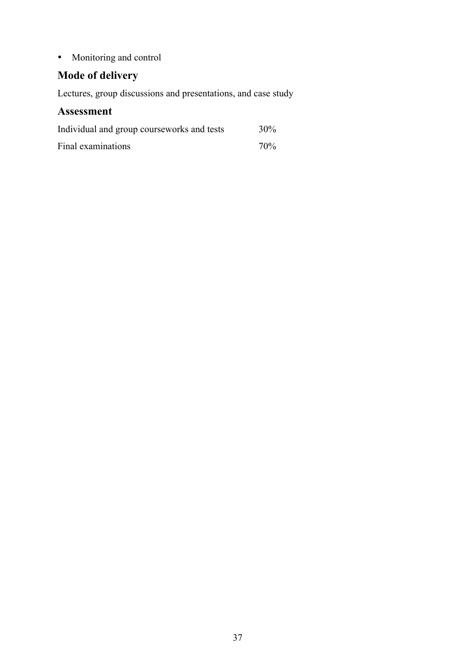• Monitoring and control

# **Mode of delivery**

Lectures, group discussions and presentations, and case study

| Individual and group courseworks and tests | 30%             |
|--------------------------------------------|-----------------|
| Final examinations                         | 70 <sub>%</sub> |